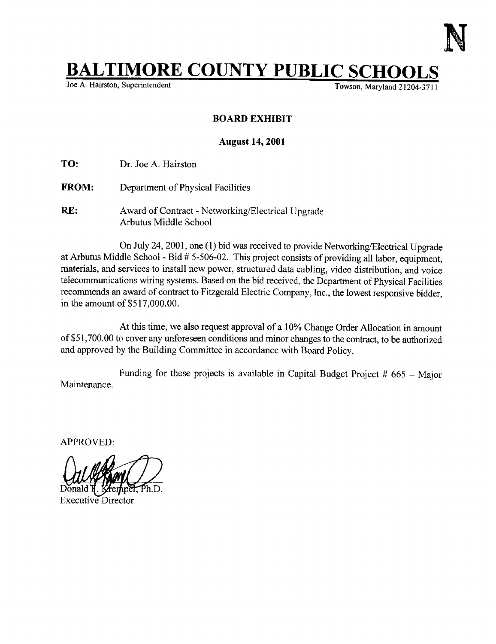

## **BALTIMORE COUNTY PUBLIC SCHOOLS**

Towson, Maryland 21204-3711

## BOARD EXHIBIT

## August 14, 2001

TO: Dr. Joe A. Hairston

- FROM: Department of Physical Facilities
- RE: Award of Contract Networking/Electrical Upgrade Arbutus Middle School

On July 24, 2001, one (1) bid was received to provide Networking/Electrical Upgrade at Arbutus Middle School - Bid  $# 5-506-02$ . This project consists of providing all labor, equipment, materials, and services to install new power, structured data cabling, video distribution, and voice telecommunications wiring systems. Based on the bid received, the Department of Physical Facilities recommends an award of contract to Fitzgerald Electric Company, Inc., the lowest responsive bidder, in the amount of  $$517,000.00$ .

At this time, we also request approval of a 10% Change Order Allocation in amount of \$51,700.00 to cover any unforeseen conditions and minor changes to the contract, to be authorized and approved by the Building Committee in accordance with Board Policy.

Maintenance. Funding for these projects is available in Capital Budget Project  $#665 -$  Major

APPROVED:

Donald

Executive Director